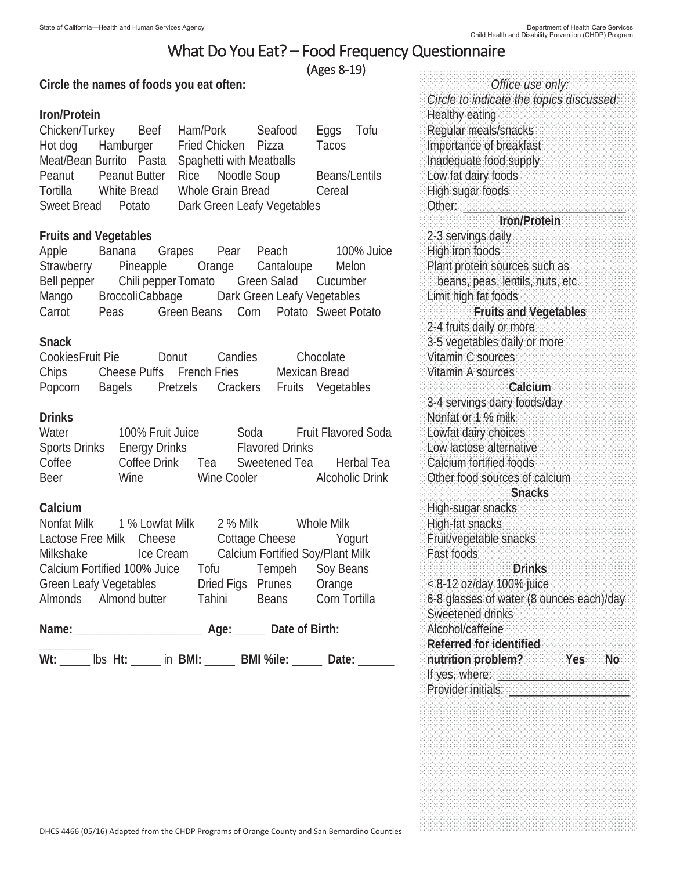# What Do You Eat? – Food Frequency Questionnaire (Ages 8-19)

**Circle the names of foods you eat often:** 

# **Iron/Protein**

Chicken/Turkey Beef Ham/Pork Seafood Eggs Tofu Hot dog Hamburger Fried Chicken Pizza Tacos Meat/Bean Burrito Pasta Spaghetti with Meatballs Peanut Peanut Butter Rice Noodle Soup Beans/Lentils Tortilla White Bread Whole Grain Bread Cereal Sweet Bread Potato Dark Green Leafy Vegetables

# **Fruits and Vegetables**

Apple Banana Grapes Pear Peach 100% Juice Strawberry Pineapple Orange Cantaloupe Melon Bell pepper Chili pepper Tomato Green Salad Cucumber Mango Broccoli Cabbage Dark Green Leafy Vegetables Carrot Peas Green Beans Corn Potato Sweet Potato

#### **Snack**

| Cookies Fruit Pie |                           | Donut | Candies | Chocolate |                                     |  |
|-------------------|---------------------------|-------|---------|-----------|-------------------------------------|--|
| Chips             | Cheese Puffs French Fries |       |         |           | Mexican Bread                       |  |
| Popcorn           | Bagels                    |       |         |           | Pretzels Crackers Fruits Vegetables |  |

#### **Drinks**

| Water                       | 100% Fruit Juice |             | Soda                   | <b>Fruit Flavored Soda</b> |
|-----------------------------|------------------|-------------|------------------------|----------------------------|
| Sports Drinks Energy Drinks |                  |             | <b>Flavored Drinks</b> |                            |
| Coffee                      | Coffee Drink     | Tea         | Sweetened Tea          | <b>Herbal Tea</b>          |
| <b>Beer</b>                 | Wine.            | Wine Cooler |                        | <b>Alcoholic Drink</b>     |

## **Calcium**

| Nonfat Milk 1 % Lowfat Milk   |                   |              | 2 % Milk Whole Milk              |
|-------------------------------|-------------------|--------------|----------------------------------|
| Lactose Free Milk Cheese      |                   |              | Cottage Cheese Yogurt            |
| Milkshake Ice Cream           |                   |              | Calcium Fortified Soy/Plant Milk |
| Calcium Fortified 100% Juice  | Tofu Tempeh       |              | Soy Beans                        |
| <b>Green Leafy Vegetables</b> | Dried Figs Prunes |              | Orange                           |
| Almonds Almond butter         | Tahini            | <b>Beans</b> | Corn Tortilla                    |

**Name: \_\_\_\_\_\_\_\_\_\_\_\_\_\_\_\_\_\_\_\_\_ Age: \_\_\_\_\_ Date of Birth:**

**\_\_\_\_\_\_\_\_\_** Wt: lbs Ht: in BMI: BMI %ile: Date:

*Office use only: Circle to indicate the topics discussed:* Healthy eating Regular meals/snacks Importance of breakfast Inadequate food supply Low fat dairy foods High sugar foods Other: **Iron/Protein** 2-3 servings daily High iron foods Plant protein sources such as beans, peas, lentils, nuts, etc. Limit high fat foods **Fruits and Vegetables** 2-4 fruits daily or more 3-5 vegetables daily or more Vitamin C sources Vitamin A sources **Calcium** 3-4 servings dairy foods/day Nonfat or 1 % milk Lowfat dairy choices Low lactose alternative Calcium fortified foods Other food sources of calcium **Snacks** High-sugar snacks High-fat snacks Fruit/vegetable snacks Fast foods **Drinks** < 8-12 oz/day 100% juice 6-8 glasses of water (8 ounces each)/day Sweetened drinks Alcohol/caffeine **Referred for identified nutrition problem? Yes No** If yes, where: **where** and the state of the state of the state of the state of the state of the state of the state of the state of the state of the state of the state of the state of the state of the state of the state of

Provider initials: **We are all that the provider**